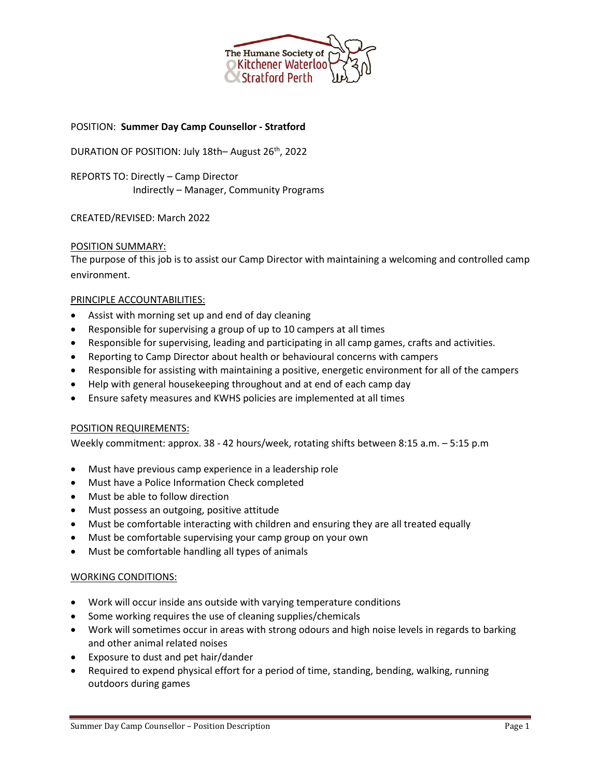

# POSITION: **Summer Day Camp Counsellor - Stratford**

DURATION OF POSITION: July 18th– August 26<sup>th</sup>, 2022

REPORTS TO: Directly – Camp Director Indirectly – Manager, Community Programs

### CREATED/REVISED: March 2022

### POSITION SUMMARY:

The purpose of this job is to assist our Camp Director with maintaining a welcoming and controlled camp environment.

### PRINCIPLE ACCOUNTABILITIES:

- Assist with morning set up and end of day cleaning
- Responsible for supervising a group of up to 10 campers at all times
- Responsible for supervising, leading and participating in all camp games, crafts and activities.
- Reporting to Camp Director about health or behavioural concerns with campers
- Responsible for assisting with maintaining a positive, energetic environment for all of the campers
- Help with general housekeeping throughout and at end of each camp day
- Ensure safety measures and KWHS policies are implemented at all times

#### POSITION REQUIREMENTS:

Weekly commitment: approx. 38 - 42 hours/week, rotating shifts between 8:15 a.m. – 5:15 p.m

- Must have previous camp experience in a leadership role
- Must have a Police Information Check completed
- Must be able to follow direction
- Must possess an outgoing, positive attitude
- Must be comfortable interacting with children and ensuring they are all treated equally
- Must be comfortable supervising your camp group on your own
- Must be comfortable handling all types of animals

#### WORKING CONDITIONS:

- Work will occur inside ans outside with varying temperature conditions
- Some working requires the use of cleaning supplies/chemicals
- Work will sometimes occur in areas with strong odours and high noise levels in regards to barking and other animal related noises
- Exposure to dust and pet hair/dander
- Required to expend physical effort for a period of time, standing, bending, walking, running outdoors during games